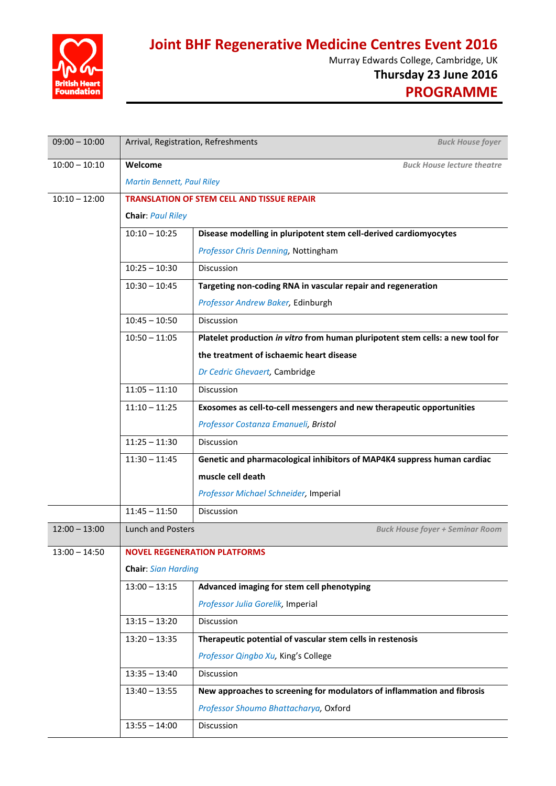

**Joint BHF Regenerative Medicine Centres Event 2016**

Murray Edwards College, Cambridge, UK

**Thursday 23 June 2016**

**PROGRAMME**

| $09:00 - 10:00$ | Arrival, Registration, Refreshments<br><b>Buck House foyer</b>         |                                                                                |  |
|-----------------|------------------------------------------------------------------------|--------------------------------------------------------------------------------|--|
| $10:00 - 10:10$ | Welcome<br><b>Buck House lecture theatre</b>                           |                                                                                |  |
|                 | <b>Martin Bennett, Paul Riley</b>                                      |                                                                                |  |
| $10:10 - 12:00$ | <b>TRANSLATION OF STEM CELL AND TISSUE REPAIR</b><br>Chair: Paul Riley |                                                                                |  |
|                 |                                                                        |                                                                                |  |
|                 | $10:10 - 10:25$                                                        | Disease modelling in pluripotent stem cell-derived cardiomyocytes              |  |
|                 |                                                                        | Professor Chris Denning, Nottingham                                            |  |
|                 | $10:25 - 10:30$                                                        | Discussion                                                                     |  |
|                 | $10:30 - 10:45$                                                        | Targeting non-coding RNA in vascular repair and regeneration                   |  |
|                 |                                                                        | Professor Andrew Baker, Edinburgh                                              |  |
|                 | $10:45 - 10:50$                                                        | Discussion                                                                     |  |
|                 | $10:50 - 11:05$                                                        | Platelet production in vitro from human pluripotent stem cells: a new tool for |  |
|                 |                                                                        | the treatment of ischaemic heart disease                                       |  |
|                 |                                                                        | Dr Cedric Ghevaert, Cambridge                                                  |  |
|                 | $11:05 - 11:10$                                                        | Discussion                                                                     |  |
|                 | $11:10 - 11:25$                                                        | Exosomes as cell-to-cell messengers and new therapeutic opportunities          |  |
|                 |                                                                        | Professor Costanza Emanueli, Bristol                                           |  |
|                 | $11:25 - 11:30$                                                        | Discussion                                                                     |  |
|                 | $11:30 - 11:45$                                                        | Genetic and pharmacological inhibitors of MAP4K4 suppress human cardiac        |  |
|                 |                                                                        | muscle cell death                                                              |  |
|                 |                                                                        | Professor Michael Schneider, Imperial                                          |  |
|                 | $11:45 - 11:50$                                                        | Discussion                                                                     |  |
| $12:00 - 13:00$ | <b>Lunch and Posters</b><br><b>Buck House foyer + Seminar Room</b>     |                                                                                |  |
| $13:00 - 14:50$ | <b>NOVEL REGENERATION PLATFORMS</b>                                    |                                                                                |  |
|                 | <b>Chair: Sian Harding</b>                                             |                                                                                |  |
|                 | $13:00 - 13:15$                                                        | Advanced imaging for stem cell phenotyping                                     |  |
|                 |                                                                        | Professor Julia Gorelik, Imperial                                              |  |
|                 | $13:15 - 13:20$                                                        | Discussion                                                                     |  |
|                 | $13:20 - 13:35$                                                        | Therapeutic potential of vascular stem cells in restenosis                     |  |
|                 |                                                                        | Professor Qingbo Xu, King's College                                            |  |
|                 | $13:35 - 13:40$                                                        | Discussion                                                                     |  |
|                 | $13:40 - 13:55$                                                        | New approaches to screening for modulators of inflammation and fibrosis        |  |
|                 |                                                                        | Professor Shoumo Bhattacharya, Oxford                                          |  |
|                 | $13:55 - 14:00$                                                        | Discussion                                                                     |  |
|                 |                                                                        |                                                                                |  |